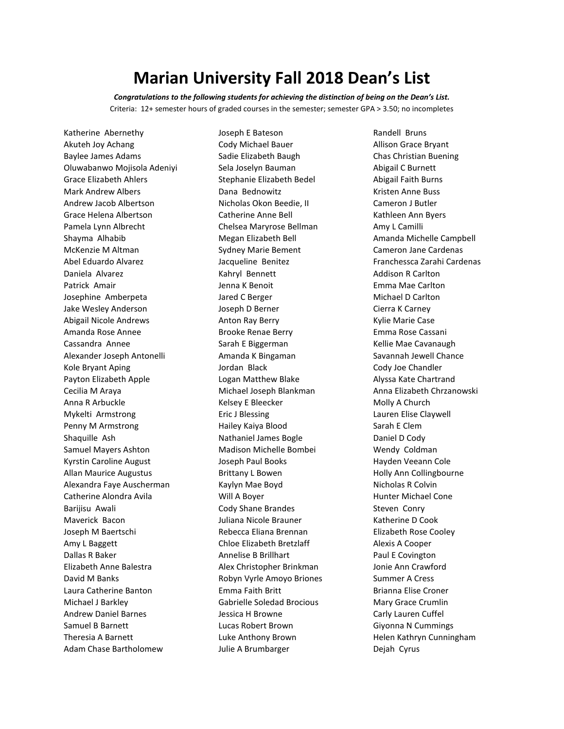## **Marian University Fall 2018 Dean's List**

*Congratulations to the following students for achieving the distinction of being on the Dean's List.* Criteria: 12+ semester hours of graded courses in the semester; semester GPA > 3.50; no incompletes

Katherine Abernethy Akuteh Joy Achang Baylee James Adams Oluwabanwo Mojisola Adeniyi Grace Elizabeth Ahlers Mark Andrew Albers Andrew Jacob Albertson Grace Helena Albertson Pamela Lynn Albrecht Shayma Alhabib McKenzie M Altman Abel Eduardo Alvarez Daniela Alvarez Patrick Amair Josephine Amberpeta Jake Wesley Anderson Abigail Nicole Andrews Amanda Rose Annee Cassandra Annee Alexander Joseph Antonelli Kole Bryant Aping Payton Elizabeth Apple Cecilia M Araya Anna R Arbuckle Mykelti Armstrong Penny M Armstrong Shaquille Ash Samuel Mayers Ashton Kyrstin Caroline August Allan Maurice Augustus Alexandra Faye Auscherman Catherine Alondra Avila Barijisu Awali Maverick Bacon Joseph M Baertschi Amy L Baggett Dallas R Baker Elizabeth Anne Balestra David M Banks Laura Catherine Banton Michael J Barkley Andrew Daniel Barnes Samuel B Barnett Theresia A Barnett Adam Chase Bartholomew

Joseph E Bateson Cody Michael Bauer Sadie Elizabeth Baugh Sela Joselyn Bauman Stephanie Elizabeth Bedel Dana Bednowitz Nicholas Okon Beedie, II Catherine Anne Bell Chelsea Maryrose Bellman Megan Elizabeth Bell Sydney Marie Bement Jacqueline Benitez Kahryl Bennett Jenna K Benoit Jared C Berger Joseph D Berner Anton Ray Berry Brooke Renae Berry Sarah E Biggerman Amanda K Bingaman Jordan Black Logan Matthew Blake Michael Joseph Blankman Kelsey E Bleecker Eric J Blessing Hailey Kaiya Blood Nathaniel James Bogle Madison Michelle Bombei Joseph Paul Books Brittany L Bowen Kaylyn Mae Boyd Will A Boyer Cody Shane Brandes Juliana Nicole Brauner Rebecca Eliana Brennan Chloe Elizabeth Bretzlaff Annelise B Brillhart Alex Christopher Brinkman Robyn Vyrle Amoyo Briones Emma Faith Britt Gabrielle Soledad Brocious Jessica H Browne Lucas Robert Brown Luke Anthony Brown Julie A Brumbarger

Randell Bruns Allison Grace Bryant Chas Christian Buening Abigail C Burnett Abigail Faith Burns Kristen Anne Buss Cameron J Butler Kathleen Ann Byers Amy L Camilli Amanda Michelle Campbell Cameron Jane Cardenas Franchessca Zarahi Cardenas Addison R Carlton Emma Mae Carlton Michael D Carlton Cierra K Carney Kylie Marie Case Emma Rose Cassani Kellie Mae Cavanaugh Savannah Jewell Chance Cody Joe Chandler Alyssa Kate Chartrand Anna Elizabeth Chrzanowski Molly A Church Lauren Elise Claywell Sarah E Clem Daniel D Cody Wendy Coldman Hayden Veeann Cole Holly Ann Collingbourne Nicholas R Colvin Hunter Michael Cone Steven Conry Katherine D Cook Elizabeth Rose Cooley Alexis A Cooper Paul E Covington Jonie Ann Crawford Summer A Cress Brianna Elise Croner Mary Grace Crumlin Carly Lauren Cuffel Giyonna N Cummings Helen Kathryn Cunningham Dejah Cyrus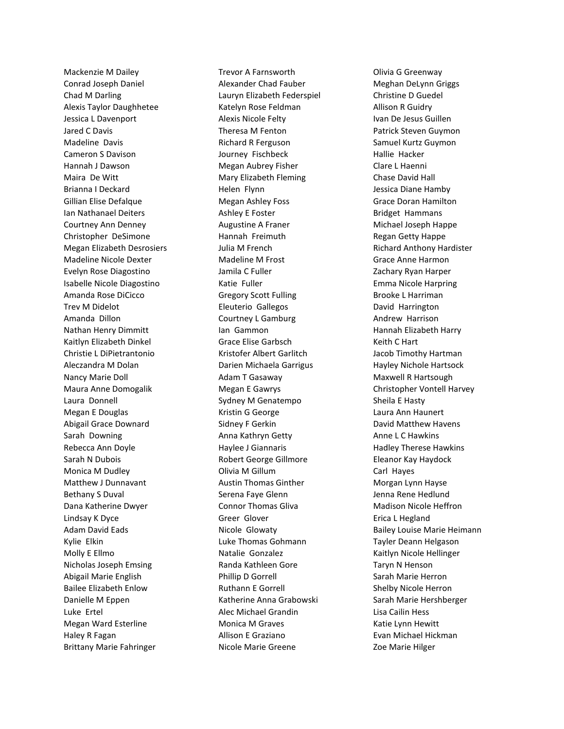Mackenzie M Dailey Conrad Joseph Daniel Chad M Darling Alexis Taylor Daughhetee Jessica L Davenport Jared C Davis Madeline Davis Cameron S Davison Hannah J Dawson Maira De Witt Brianna I Deckard Gillian Elise Defalque Ian Nathanael Deiters Courtney Ann Denney Christopher DeSimone Megan Elizabeth Desrosiers Madeline Nicole Dexter Evelyn Rose Diagostino Isabelle Nicole Diagostino Amanda Rose DiCicco Trev M Didelot Amanda Dillon Nathan Henry Dimmitt Kaitlyn Elizabeth Dinkel Christie L DiPietrantonio Aleczandra M Dolan Nancy Marie Doll Maura Anne Domogalik Laura Donnell Megan E Douglas Abigail Grace Downard Sarah Downing Rebecca Ann Doyle Sarah N Dubois Monica M Dudley Matthew J Dunnavant Bethany S Duval Dana Katherine Dwyer Lindsay K Dyce Adam David Eads Kylie Elkin Molly E Ellmo Nicholas Joseph Emsing Abigail Marie English Bailee Elizabeth Enlow Danielle M Eppen Luke Ertel Megan Ward Esterline Haley R Fagan Brittany Marie Fahringer

Trevor A Farnsworth Alexander Chad Fauber Lauryn Elizabeth Federspiel Katelyn Rose Feldman Alexis Nicole Felty Theresa M Fenton Richard R Ferguson Journey Fischbeck Megan Aubrey Fisher Mary Elizabeth Fleming Helen Flynn Megan Ashley Foss Ashley E Foster Augustine A Franer Hannah Freimuth Julia M French Madeline M Frost Jamila C Fuller Katie Fuller Gregory Scott Fulling Eleuterio Gallegos Courtney L Gamburg Ian Gammon Grace Elise Garbsch Kristofer Albert Garlitch Darien Michaela Garrigus Adam T Gasaway Megan E Gawrys Sydney M Genatempo Kristin G George Sidney F Gerkin Anna Kathryn Getty Haylee J Giannaris Robert George Gillmore Olivia M Gillum Austin Thomas Ginther Serena Faye Glenn Connor Thomas Gliva Greer Glover Nicole Glowaty Luke Thomas Gohmann Natalie Gonzalez Randa Kathleen Gore Phillip D Gorrell Ruthann E Gorrell Katherine Anna Grabowski Alec Michael Grandin Monica M Graves Allison E Graziano Nicole Marie Greene

Olivia G Greenway Meghan DeLynn Griggs Christine D Guedel Allison R Guidry Ivan De Jesus Guillen Patrick Steven Guymon Samuel Kurtz Guymon Hallie Hacker Clare L Haenni Chase David Hall Jessica Diane Hamby Grace Doran Hamilton Bridget Hammans Michael Joseph Happe Regan Getty Happe Richard Anthony Hardister Grace Anne Harmon Zachary Ryan Harper Emma Nicole Harpring Brooke L Harriman David Harrington Andrew Harrison Hannah Elizabeth Harry Keith C Hart Jacob Timothy Hartman Hayley Nichole Hartsock Maxwell R Hartsough Christopher Vontell Harvey Sheila E Hasty Laura Ann Haunert David Matthew Havens Anne L C Hawkins Hadley Therese Hawkins Eleanor Kay Haydock Carl Hayes Morgan Lynn Hayse Jenna Rene Hedlund Madison Nicole Heffron Erica L Hegland Bailey Louise Marie Heimann Tayler Deann Helgason Kaitlyn Nicole Hellinger Taryn N Henson Sarah Marie Herron Shelby Nicole Herron Sarah Marie Hershberger Lisa Cailin Hess Katie Lynn Hewitt Evan Michael Hickman Zoe Marie Hilger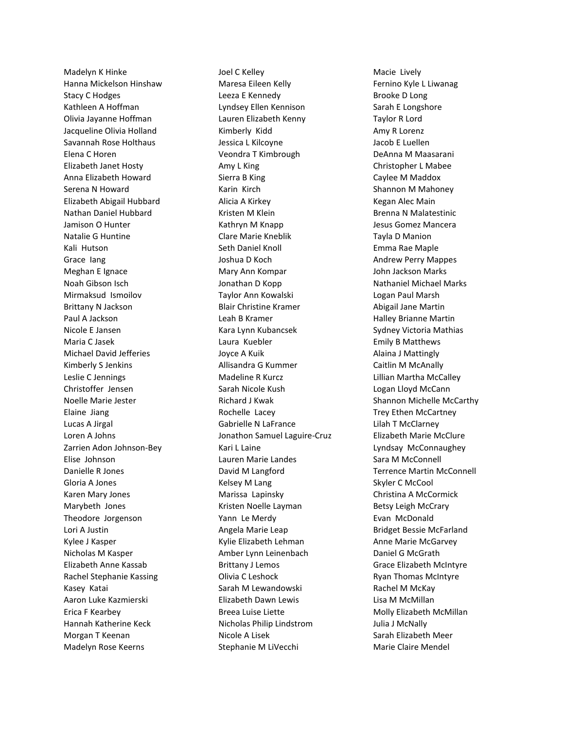Madelyn K Hinke Hanna Mickelson Hinshaw Stacy C Hodges Kathleen A Hoffman Olivia Jayanne Hoffman Jacqueline Olivia Holland Savannah Rose Holthaus Elena C Horen Elizabeth Janet Hosty Anna Elizabeth Howard Serena N Howard Elizabeth Abigail Hubbard Nathan Daniel Hubbard Jamison O Hunter Natalie G Huntine Kali Hutson Grace Iang Meghan E Ignace Noah Gibson Isch Mirmaksud Ismoilov Brittany N Jackson Paul A Jackson Nicole E Jansen Maria C Jasek Michael David Jefferies Kimberly S Jenkins Leslie C Jennings Christoffer Jensen Noelle Marie Jester Elaine Jiang Lucas A Jirgal Loren A Johns Zarrien Adon Johnson-Bey Elise Johnson Danielle R Jones Gloria A Jones Karen Mary Jones Marybeth Jones Theodore Jorgenson Lori A Justin Kylee J Kasper Nicholas M Kasper Elizabeth Anne Kassab Rachel Stephanie Kassing Kasey Katai Aaron Luke Kazmierski Erica F Kearbey Hannah Katherine Keck Morgan T Keenan Madelyn Rose Keerns

Joel C Kelley Maresa Eileen Kelly Leeza E Kennedy Lyndsey Ellen Kennison Lauren Elizabeth Kenny Kimberly Kidd Jessica L Kilcoyne Veondra T Kimbrough Amy L King Sierra B King Karin Kirch Alicia A Kirkey Kristen M Klein Kathryn M Knapp Clare Marie Kneblik Seth Daniel Knoll Joshua D Koch Mary Ann Kompar Jonathan D Kopp Taylor Ann Kowalski Blair Christine Kramer Leah B Kramer Kara Lynn Kubancsek Laura Kuebler Joyce A Kuik Allisandra G Kummer Madeline R Kurcz Sarah Nicole Kush Richard J Kwak Rochelle Lacey Gabrielle N LaFrance Jonathon Samuel Laguire-Cruz Kari L Laine Lauren Marie Landes David M Langford Kelsey M Lang Marissa Lapinsky Kristen Noelle Layman Yann Le Merdy Angela Marie Leap Kylie Elizabeth Lehman Amber Lynn Leinenbach Brittany J Lemos Olivia C Leshock Sarah M Lewandowski Elizabeth Dawn Lewis Breea Luise Liette Nicholas Philip Lindstrom Nicole A Lisek Stephanie M LiVecchi

Macie Lively Fernino Kyle L Liwanag Brooke D Long Sarah E Longshore Taylor R Lord Amy R Lorenz Jacob E Luellen DeAnna M Maasarani Christopher L Mabee Caylee M Maddox Shannon M Mahoney Kegan Alec Main Brenna N Malatestinic Jesus Gomez Mancera Tayla D Manion Emma Rae Maple Andrew Perry Mappes John Jackson Marks Nathaniel Michael Marks Logan Paul Marsh Abigail Jane Martin Halley Brianne Martin Sydney Victoria Mathias Emily B Matthews Alaina J Mattingly Caitlin M McAnally Lillian Martha McCalley Logan Lloyd McCann Shannon Michelle McCarthy Trey Ethen McCartney Lilah T McClarney Elizabeth Marie McClure Lyndsay McConnaughey Sara M McConnell Terrence Martin McConnell Skyler C McCool Christina A McCormick Betsy Leigh McCrary Evan McDonald Bridget Bessie McFarland Anne Marie McGarvey Daniel G McGrath Grace Elizabeth McIntyre Ryan Thomas McIntyre Rachel M McKay Lisa M McMillan Molly Elizabeth McMillan Julia J McNally Sarah Elizabeth Meer Marie Claire Mendel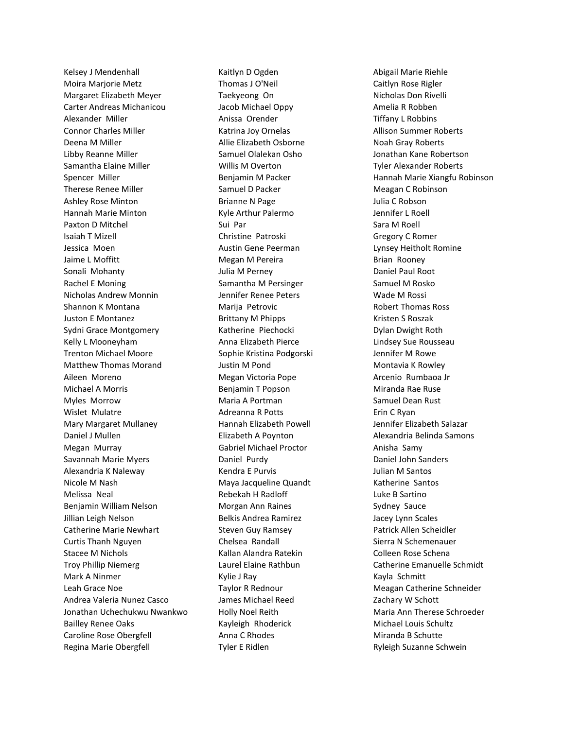Kelsey J Mendenhall Moira Marjorie Metz Margaret Elizabeth Meyer Carter Andreas Michanicou Alexander Miller Connor Charles Miller Deena M Miller Libby Reanne Miller Samantha Elaine Miller Spencer Miller Therese Renee Miller Ashley Rose Minton Hannah Marie Minton Paxton D Mitchel Isaiah T Mizell Jessica Moen Jaime L Moffitt Sonali Mohanty Rachel E Moning Nicholas Andrew Monnin Shannon K Montana Juston E Montanez Sydni Grace Montgomery Kelly L Mooneyham Trenton Michael Moore Matthew Thomas Morand Aileen Moreno Michael A Morris Myles Morrow Wislet Mulatre Mary Margaret Mullaney Daniel J Mullen Megan Murray Savannah Marie Myers Alexandria K Naleway Nicole M Nash Melissa Neal Benjamin William Nelson Jillian Leigh Nelson Catherine Marie Newhart Curtis Thanh Nguyen Stacee M Nichols Troy Phillip Niemerg Mark A Ninmer Leah Grace Noe Andrea Valeria Nunez Casco Jonathan Uchechukwu Nwankwo Bailley Renee Oaks Caroline Rose Obergfell Regina Marie Obergfell

Kaitlyn D Ogden Thomas J O'Neil Taekyeong On Jacob Michael Oppy Anissa Orender Katrina Joy Ornelas Allie Elizabeth Osborne Samuel Olalekan Osho Willis M Overton Benjamin M Packer Samuel D Packer Brianne N Page Kyle Arthur Palermo Sui Par Christine Patroski Austin Gene Peerman Megan M Pereira Julia M Perney Samantha M Persinger Jennifer Renee Peters Marija Petrovic Brittany M Phipps Katherine Piechocki Anna Elizabeth Pierce Sophie Kristina Podgorski Justin M Pond Megan Victoria Pope Benjamin T Popson Maria A Portman Adreanna R Potts Hannah Elizabeth Powell Elizabeth A Poynton Gabriel Michael Proctor Daniel Purdy Kendra E Purvis Maya Jacqueline Quandt Rebekah H Radloff Morgan Ann Raines Belkis Andrea Ramirez Steven Guy Ramsey Chelsea Randall Kallan Alandra Ratekin Laurel Elaine Rathbun Kylie J Ray Taylor R Rednour James Michael Reed Holly Noel Reith Kayleigh Rhoderick Anna C Rhodes Tyler E Ridlen

Abigail Marie Riehle Caitlyn Rose Rigler Nicholas Don Rivelli Amelia R Robben Tiffany L Robbins Allison Summer Roberts Noah Gray Roberts Jonathan Kane Robertson Tyler Alexander Roberts Hannah Marie Xiangfu Robinson Meagan C Robinson Julia C Robson Jennifer L Roell Sara M Roell Gregory C Romer Lynsey Heitholt Romine Brian Rooney Daniel Paul Root Samuel M Rosko Wade M Rossi Robert Thomas Ross Kristen S Roszak Dylan Dwight Roth Lindsey Sue Rousseau Jennifer M Rowe Montavia K Rowley Arcenio Rumbaoa Jr Miranda Rae Ruse Samuel Dean Rust Erin C Ryan Jennifer Elizabeth Salazar Alexandria Belinda Samons Anisha Samy Daniel John Sanders Julian M Santos Katherine Santos Luke B Sartino Sydney Sauce Jacey Lynn Scales Patrick Allen Scheidler Sierra N Schemenauer Colleen Rose Schena Catherine Emanuelle Schmidt Kayla Schmitt Meagan Catherine Schneider Zachary W Schott Maria Ann Therese Schroeder Michael Louis Schultz Miranda B Schutte Ryleigh Suzanne Schwein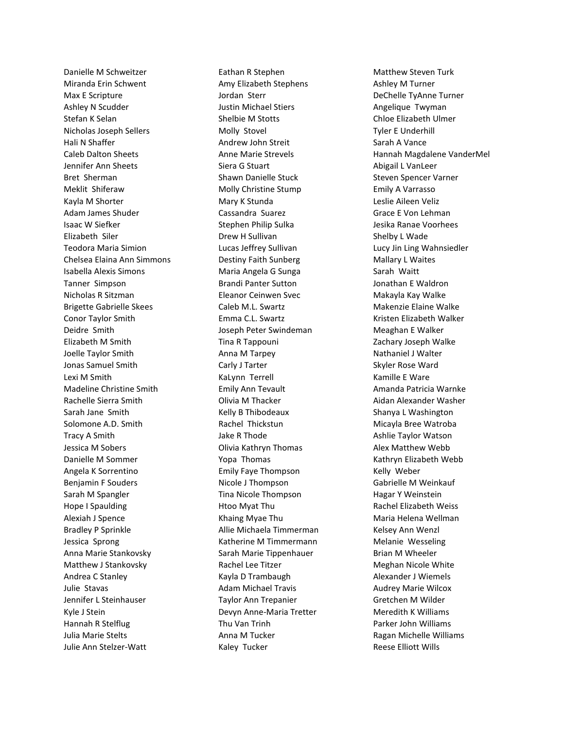Danielle M Schweitzer Miranda Erin Schwent Max E Scripture Ashley N Scudder Stefan K Selan Nicholas Joseph Sellers Hali N Shaffer Caleb Dalton Sheets Jennifer Ann Sheets Bret Sherman Meklit Shiferaw Kayla M Shorter Adam James Shuder Isaac W Siefker Elizabeth Siler Teodora Maria Simion Chelsea Elaina Ann Simmons Isabella Alexis Simons Tanner Simpson Nicholas R Sitzman Brigette Gabrielle Skees Conor Taylor Smith Deidre Smith Elizabeth M Smith Joelle Taylor Smith Jonas Samuel Smith Lexi M Smith Madeline Christine Smith Rachelle Sierra Smith Sarah Jane Smith Solomone A.D. Smith Tracy A Smith Jessica M Sobers Danielle M Sommer Angela K Sorrentino Benjamin F Souders Sarah M Spangler Hope I Spaulding Alexiah J Spence Bradley P Sprinkle Jessica Sprong Anna Marie Stankovsky Matthew J Stankovsky Andrea C Stanley Julie Stavas Jennifer L Steinhauser Kyle J Stein Hannah R Stelflug Julia Marie Stelts Julie Ann Stelzer-Watt

Eathan R Stephen Amy Elizabeth Stephens Jordan Sterr Justin Michael Stiers Shelbie M Stotts Molly Stovel Andrew John Streit Anne Marie Strevels Siera G Stuart Shawn Danielle Stuck Molly Christine Stump Mary K Stunda Cassandra Suarez Stephen Philip Sulka Drew H Sullivan Lucas Jeffrey Sullivan Destiny Faith Sunberg Maria Angela G Sunga Brandi Panter Sutton Eleanor Ceinwen Svec Caleb M.L. Swartz Emma C.L. Swartz Joseph Peter Swindeman Tina R Tappouni Anna M Tarpey Carly J Tarter KaLynn Terrell Emily Ann Tevault Olivia M Thacker Kelly B Thibodeaux Rachel Thickstun Jake R Thode Olivia Kathryn Thomas Yopa Thomas Emily Faye Thompson Nicole J Thompson Tina Nicole Thompson Htoo Myat Thu Khaing Myae Thu Allie Michaela Timmerman Katherine M Timmermann Sarah Marie Tippenhauer Rachel Lee Titzer Kayla D Trambaugh Adam Michael Travis Taylor Ann Trepanier Devyn Anne-Maria Tretter Thu Van Trinh Anna M Tucker Kaley Tucker

Matthew Steven Turk Ashley M Turner DeChelle TyAnne Turner Angelique Twyman Chloe Elizabeth Ulmer Tyler E Underhill Sarah A Vance Hannah Magdalene VanderMel Abigail L VanLeer Steven Spencer Varner Emily A Varrasso Leslie Aileen Veliz Grace E Von Lehman Jesika Ranae Voorhees Shelby L Wade Lucy Jin Ling Wahnsiedler Mallary L Waites Sarah Waitt Jonathan E Waldron Makayla Kay Walke Makenzie Elaine Walke Kristen Elizabeth Walker Meaghan E Walker Zachary Joseph Walke Nathaniel J Walter Skyler Rose Ward Kamille E Ware Amanda Patricia Warnke Aidan Alexander Washer Shanya L Washington Micayla Bree Watroba Ashlie Taylor Watson Alex Matthew Webb Kathryn Elizabeth Webb Kelly Weber Gabrielle M Weinkauf Hagar Y Weinstein Rachel Elizabeth Weiss Maria Helena Wellman Kelsey Ann Wenzl Melanie Wesseling Brian M Wheeler Meghan Nicole White Alexander J Wiemels Audrey Marie Wilcox Gretchen M Wilder Meredith K Williams Parker John Williams Ragan Michelle Williams Reese Elliott Wills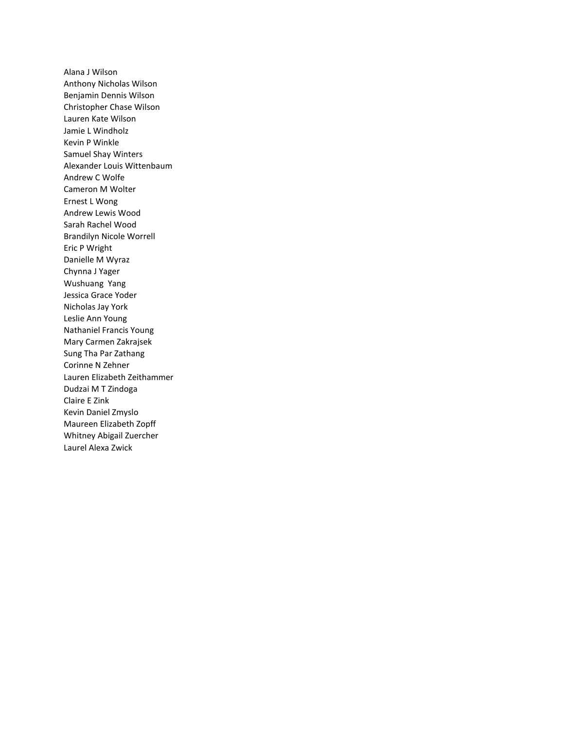Alana J Wilson Anthony Nicholas Wilson Benjamin Dennis Wilson Christopher Chase Wilson Lauren Kate Wilson Jamie L Windholz Kevin P Winkle Samuel Shay Winters Alexander Louis Wittenbaum Andrew C Wolfe Cameron M Wolter Ernest L Wong Andrew Lewis Wood Sarah Rachel Wood Brandilyn Nicole Worrell Eric P Wright Danielle M Wyraz Chynna J Yager Wushuang Yang Jessica Grace Yoder Nicholas Jay York Leslie Ann Young Nathaniel Francis Young Mary Carmen Zakrajsek Sung Tha Par Zathang Corinne N Zehner Lauren Elizabeth Zeithammer Dudzai M T Zindoga Claire E Zink Kevin Daniel Zmyslo Maureen Elizabeth Zopff Whitney Abigail Zuercher Laurel Alexa Zwick